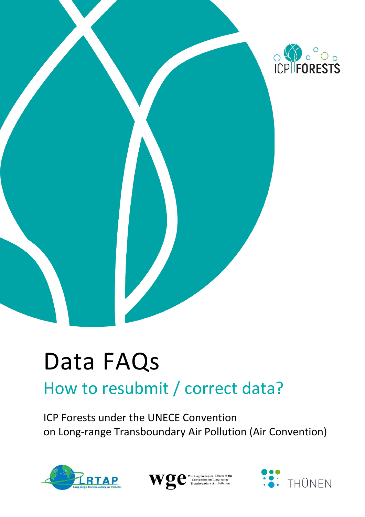

# Data FAQs

## How to resubmit / correct data?

ICP Forests under the UNECE Convention on Long-range Transboundary Air Pollution (Air Convention)





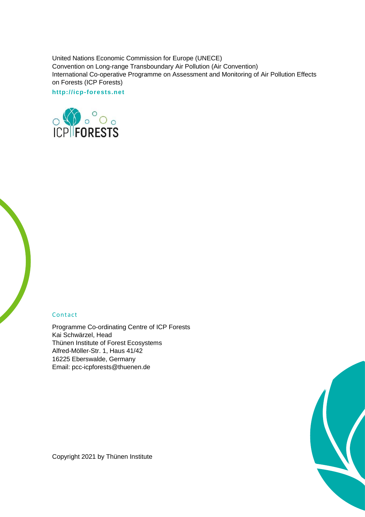United Nations Economic Commission for Europe (UNECE) Convention on Long-range Transboundary Air Pollution (Air Convention) International Co-operative Programme on Assessment and Monitoring of Air Pollution Effects on Forests (ICP Forests)

**http://icp-forests.net**



#### Contact

Programme Co-ordinating Centre of ICP Forests Kai Schwärzel, Head Thünen Institute of Forest Ecosystems Alfred-Möller-Str. 1, Haus 41/42 16225 Eberswalde, Germany Email: pcc-icpforests@thuenen.de

Copyright 2021 by Thünen Institute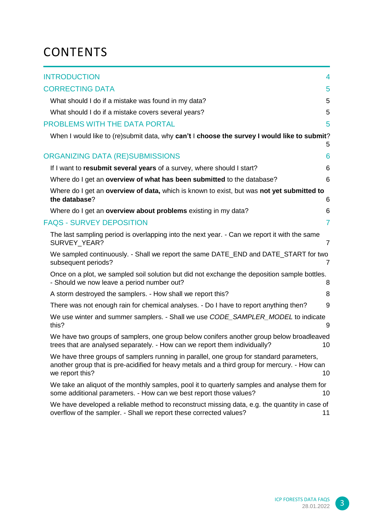### **CONTENTS**

| <b>INTRODUCTION</b>                                 |                                                                                                                                                                                           | 4              |
|-----------------------------------------------------|-------------------------------------------------------------------------------------------------------------------------------------------------------------------------------------------|----------------|
| <b>CORRECTING DATA</b>                              |                                                                                                                                                                                           | 5              |
| What should I do if a mistake was found in my data? |                                                                                                                                                                                           | 5              |
| What should I do if a mistake covers several years? |                                                                                                                                                                                           | 5              |
| PROBLEMS WITH THE DATA PORTAL                       |                                                                                                                                                                                           | 5              |
|                                                     | When I would like to (re)submit data, why can't I choose the survey I would like to submit?                                                                                               | 5              |
| ORGANIZING DATA (RE)SUBMISSIONS                     |                                                                                                                                                                                           | 6              |
|                                                     | If I want to resubmit several years of a survey, where should I start?                                                                                                                    | 6              |
|                                                     | Where do I get an overview of what has been submitted to the database?                                                                                                                    | 6              |
| the database?                                       | Where do I get an overview of data, which is known to exist, but was not yet submitted to                                                                                                 | 6              |
|                                                     | Where do I get an overview about problems existing in my data?                                                                                                                            | 6              |
| <b>FAQS - SURVEY DEPOSITION</b>                     |                                                                                                                                                                                           | $\overline{7}$ |
| SURVEY YEAR?                                        | The last sampling period is overlapping into the next year. - Can we report it with the same                                                                                              | $\overline{7}$ |
| subsequent periods?                                 | We sampled continuously. - Shall we report the same DATE_END and DATE_START for two                                                                                                       | $\overline{7}$ |
| - Should we now leave a period number out?          | Once on a plot, we sampled soil solution but did not exchange the deposition sample bottles.                                                                                              | 8              |
|                                                     | A storm destroyed the samplers. - How shall we report this?                                                                                                                               | 8              |
|                                                     | There was not enough rain for chemical analyses. - Do I have to report anything then?                                                                                                     | 9              |
| this?                                               | We use winter and summer samplers. - Shall we use CODE_SAMPLER_MODEL to indicate                                                                                                          | 9              |
|                                                     | We have two groups of samplers, one group below conifers another group below broadleaved<br>trees that are analysed separately. - How can we report them individually?                    | 10             |
| we report this?                                     | We have three groups of samplers running in parallel, one group for standard parameters,<br>another group that is pre-acidified for heavy metals and a third group for mercury. - How can | 10             |
|                                                     | We take an aliquot of the monthly samples, pool it to quarterly samples and analyse them for<br>some additional parameters. - How can we best report those values?                        | 10             |
|                                                     | We have developed a reliable method to reconstruct missing data, e.g. the quantity in case of<br>overflow of the sampler. - Shall we report these corrected values?                       | 11             |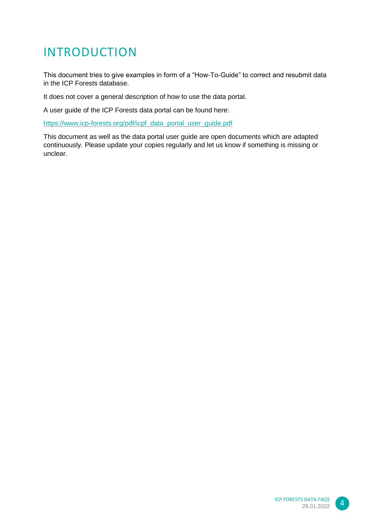### <span id="page-3-0"></span>INTRODUCTION

This document tries to give examples in form of a "How-To-Guide" to correct and resubmit data in the ICP Forests database.

It does not cover a general description of how to use the data portal.

A user guide of the ICP Forests data portal can be found here:

[https://www.icp-forests.org/pdf/icpf\\_data\\_portal\\_user\\_guide.pdf](https://www.icp-forests.org/pdf/icpf_data_portal_user_guide.pdf)

This document as well as the data portal user guide are open documents which are adapted continuously. Please update your copies regularly and let us know if something is missing or unclear.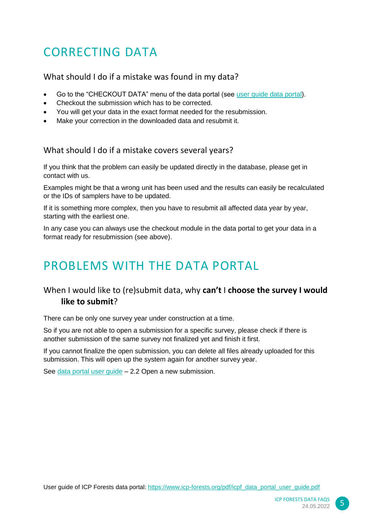### <span id="page-4-0"></span>CORRECTING DATA

#### <span id="page-4-1"></span>What should I do if a mistake was found in my data?

- Go to the "CHECKOUT DATA" menu of the data portal (see [user guide data portal\)](https://www.icp-forests.org/pdf/icpf_data_portal_user_guide.pdf).
- Checkout the submission which has to be corrected.
- You will get your data in the exact format needed for the resubmission.
- Make your correction in the downloaded data and resubmit it.

#### <span id="page-4-2"></span>What should I do if a mistake covers several years?

If you think that the problem can easily be updated directly in the database, please get in contact with us.

Examples might be that a wrong unit has been used and the results can easily be recalculated or the IDs of samplers have to be updated.

If it is something more complex, then you have to resubmit all affected data year by year, starting with the earliest one.

In any case you can always use the checkout module in the data portal to get your data in a format ready for resubmission (see above).

### <span id="page-4-3"></span>PROBLEMS WITH THE DATA PORTAL

#### <span id="page-4-4"></span>When I would like to (re)submit data, why **can't** I **choose the survey I would like to submit**?

There can be only one survey year under construction at a time.

So if you are not able to open a submission for a specific survey, please check if there is another submission of the same survey not finalized yet and finish it first.

If you cannot finalize the open submission, you can delete all files already uploaded for this submission. This will open up the system again for another survey year.

See [data portal user guide](https://www.icp-forests.org/pdf/icpf_data_portal_user_guide.pdf) – 2.2 Open a new submission.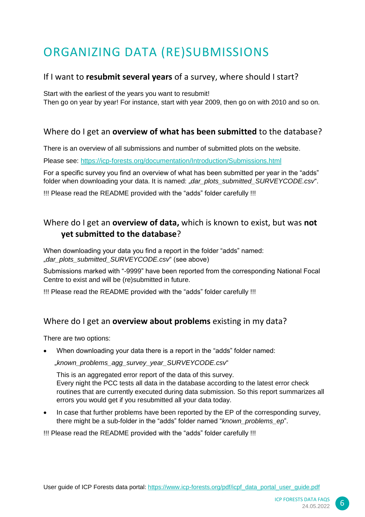### <span id="page-5-0"></span>ORGANIZING DATA (RE)SUBMISSIONS

#### <span id="page-5-1"></span>If I want to **resubmit several years** of a survey, where should I start?

Start with the earliest of the years you want to resubmit!

Then go on year by year! For instance, start with year 2009, then go on with 2010 and so on.

#### <span id="page-5-2"></span>Where do I get an **overview of what has been submitted** to the database?

There is an overview of all submissions and number of submitted plots on the website.

Please see:<https://icp-forests.org/documentation/Introduction/Submissions.html>

For a specific survey you find an overview of what has been submitted per year in the "adds" folder when downloading your data. It is named: *"dar\_plots\_submitted\_SURVEYCODE.csv*".

!!! Please read the README provided with the "adds" folder carefully !!!

#### <span id="page-5-3"></span>Where do I get an **overview of data,** which is known to exist, but was **not yet submitted to the database**?

When downloading your data you find a report in the folder "adds" named: .dar\_plots\_submitted\_SURVEYCODE.csv<sup>"</sup> (see above)

Submissions marked with "-9999" have been reported from the corresponding National Focal Centre to exist and will be (re)submitted in future.

!!! Please read the README provided with the "adds" folder carefully !!!

#### <span id="page-5-4"></span>Where do I get an **overview about problems** existing in my data?

There are two options:

When downloading your data there is a report in the "adds" folder named:

"*known\_problems\_agg\_survey\_year\_SURVEYCODE.csv*"

This is an aggregated error report of the data of this survey. Every night the PCC tests all data in the database according to the latest error check routines that are currently executed during data submission. So this report summarizes all errors you would get if you resubmitted all your data today.

• In case that further problems have been reported by the EP of the corresponding survey, there might be a sub-folder in the "adds" folder named "*known\_problems\_ep*".

!!! Please read the README provided with the "adds" folder carefully !!!

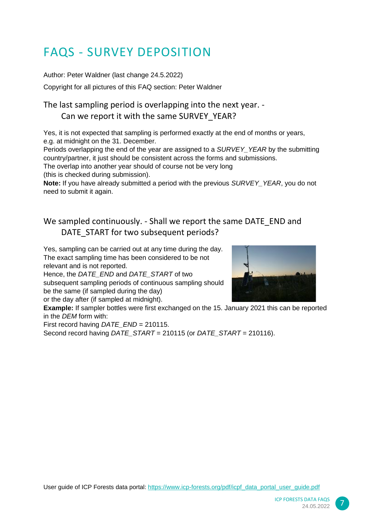### <span id="page-6-0"></span>FAQS - SURVEY DEPOSITION

Author: Peter Waldner (last change 24.5.2022)

Copyright for all pictures of this FAQ section: Peter Waldner

#### <span id="page-6-1"></span>The last sampling period is overlapping into the next year. - Can we report it with the same SURVEY\_YEAR?

Yes, it is not expected that sampling is performed exactly at the end of months or years, e.g. at midnight on the 31. December.

Periods overlapping the end of the year are assigned to a *SURVEY\_YEAR* by the submitting country/partner, it just should be consistent across the forms and submissions.

The overlap into another year should of course not be very long

(this is checked during submission).

**Note:** If you have already submitted a period with the previous *SURVEY\_YEAR*, you do not need to submit it again.

#### <span id="page-6-2"></span>We sampled continuously. - Shall we report the same DATE\_END and DATE\_START for two subsequent periods?

Yes, sampling can be carried out at any time during the day. The exact sampling time has been considered to be not relevant and is not reported.

Hence, the *DATE\_END* and *DATE\_START* of two subsequent sampling periods of continuous sampling should be the same (if sampled during the day) or the day after (if sampled at midnight).



**Example:** If sampler bottles were first exchanged on the 15. January 2021 this can be reported in the *DEM* form with:

First record having *DATE\_END* = 210115.

Second record having *DATE\_START* = 210115 (or *DATE\_START* = 210116).

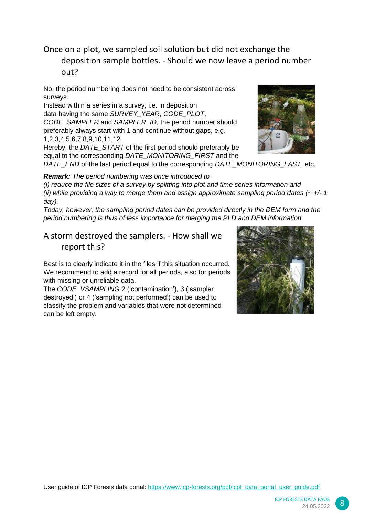#### <span id="page-7-0"></span>Once on a plot, we sampled soil solution but did not exchange the deposition sample bottles. - Should we now leave a period number out?

No, the period numbering does not need to be consistent across surveys.

Instead within a series in a survey, i.e. in deposition data having the same *SURVEY\_YEAR*, *CODE\_PLOT*, *CODE\_SAMPLER* and *SAMPLER\_ID*, the period number should preferably always start with 1 and continue without gaps, e.g. 1,2,3,4,5,6,7,8,9,10,11,12.

Hereby, the *DATE\_START* of the first period should preferably be equal to the corresponding *DATE\_MONITORING\_FIRST* and the

*DATE\_END* of the last period equal to the corresponding *DATE\_MONITORING\_LAST*, etc.

*Remark: The period numbering was once introduced to* 

*(i) reduce the file sizes of a survey by splitting into plot and time series information and (ii) while providing a way to merge them and assign approximate sampling period dates (~ +/- 1 day).* 

*Today, however, the sampling period dates can be provided directly in the DEM form and the period numbering is thus of less importance for merging the PLD and DEM information.* 

<span id="page-7-1"></span>A storm destroyed the samplers. - How shall we report this?

Best is to clearly indicate it in the files if this situation occurred. We recommend to add a record for all periods, also for periods with missing or unreliable data.

The *CODE\_VSAMPLING* 2 ('contamination'), 3 ('sampler destroyed') or 4 ('sampling not performed') can be used to classify the problem and variables that were not determined can be left empty.





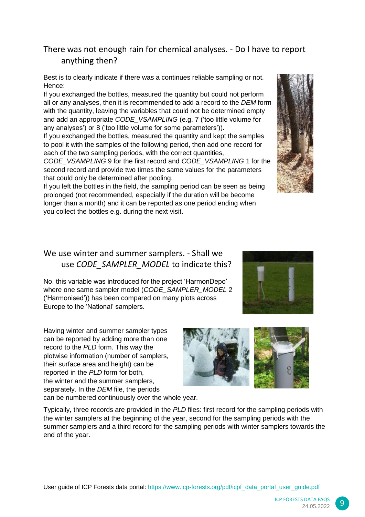#### <span id="page-8-0"></span>There was not enough rain for chemical analyses. - Do I have to report anything then?

Best is to clearly indicate if there was a continues reliable sampling or not. Hence:

If you exchanged the bottles, measured the quantity but could not perform all or any analyses, then it is recommended to add a record to the *DEM* form with the quantity, leaving the variables that could not be determined empty and add an appropriate *CODE\_VSAMPLING* (e.g. 7 ('too little volume for any analyses') or 8 ('too little volume for some parameters')).

If you exchanged the bottles, measured the quantity and kept the samples to pool it with the samples of the following period, then add one record for each of the two sampling periods, with the correct quantities,

*CODE\_VSAMPLING* 9 for the first record and *CODE\_VSAMPLING* 1 for the second record and provide two times the same values for the parameters that could only be determined after pooling.

If you left the bottles in the field, the sampling period can be seen as being prolonged (not recommended, especially if the duration will be become longer than a month) and it can be reported as one period ending when you collect the bottles e.g. during the next visit.

#### <span id="page-8-1"></span>We use winter and summer samplers. - Shall we use *CODE\_SAMPLER\_MODEL* to indicate this?

No, this variable was introduced for the project 'HarmonDepo' where one same sampler model (*CODE\_SAMPLER\_MODEL* 2 ('Harmonised')) has been compared on many plots across Europe to the 'National' samplers.

Having winter and summer sampler types can be reported by adding more than one record to the *PLD* form. This way the plotwise information (number of samplers, their surface area and height) can be reported in the *PLD* form for both, the winter and the summer samplers, separately. In the *DEM* file, the periods can be numbered continuously over the whole year.

Typically, three records are provided in the *PLD* files: first record for the sampling periods with the winter samplers at the beginning of the year, second for the sampling periods with the summer samplers and a third record for the sampling periods with winter samplers towards the end of the year.





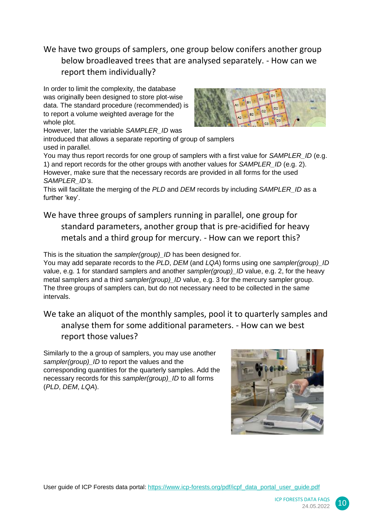<span id="page-9-0"></span>We have two groups of samplers, one group below conifers another group below broadleaved trees that are analysed separately. - How can we report them individually?

In order to limit the complexity, the database was originally been designed to store plot-wise data. The standard procedure (recommended) is to report a volume weighted average for the whole plot.



However, later the variable *SAMPLER\_ID* was introduced that allows a separate reporting of group of samplers used in parallel.

You may thus report records for one group of samplers with a first value for *SAMPLER\_ID* (e.g. 1) and report records for the other groups with another values for *SAMPLER\_ID* (e.g. 2). However, make sure that the necessary records are provided in all forms for the used *SAMPLER\_ID's*.

This will facilitate the merging of the *PLD* and *DEM* records by including *SAMPLER\_ID* as a further 'key'.

<span id="page-9-1"></span>We have three groups of samplers running in parallel, one group for standard parameters, another group that is pre-acidified for heavy metals and a third group for mercury. - How can we report this?

This is the situation the *sampler(group) ID* has been designed for.

You may add separate records to the *PLD*, *DEM* (and *LQA*) forms using one *sampler(group)\_ID* value, e.g. 1 for standard samplers and another *sampler(group) ID* value, e.g. 2, for the heavy metal samplers and a third *sampler(group) ID* value, e.g. 3 for the mercury sampler group. The three groups of samplers can, but do not necessary need to be collected in the same intervals.

<span id="page-9-2"></span>We take an aliquot of the monthly samples, pool it to quarterly samples and analyse them for some additional parameters. - How can we best report those values?

Similarly to the a group of samplers, you may use another sampler(group) ID to report the values and the corresponding quantities for the quarterly samples. Add the necessary records for this *sampler(group)\_ID* to all forms (*PLD*, *DEM*, *LQA*).